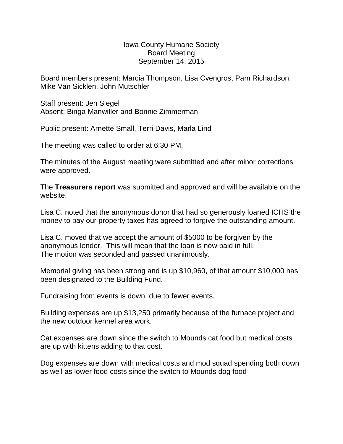Iowa County Humane Society Board Meeting September 14, 2015

Board members present: Marcia Thompson, Lisa Cvengros, Pam Richardson, Mike Van Sicklen, John Mutschler

Staff present: Jen Siegel Absent: Binga Manwiller and Bonnie Zimmerman

Public present: Arnette Small, Terri Davis, Marla Lind

The meeting was called to order at 6:30 PM.

The minutes of the August meeting were submitted and after minor corrections were approved.

The **Treasurers report** was submitted and approved and will be available on the website.

Lisa C. noted that the anonymous donor that had so generously loaned ICHS the money to pay our property taxes has agreed to forgive the outstanding amount.

Lisa C. moved that we accept the amount of \$5000 to be forgiven by the anonymous lender. This will mean that the loan is now paid in full. The motion was seconded and passed unanimously.

Memorial giving has been strong and is up \$10,960, of that amount \$10,000 has been designated to the Building Fund.

Fundraising from events is down due to fewer events.

Building expenses are up \$13,250 primarily because of the furnace project and the new outdoor kennel area work.

Cat expenses are down since the switch to Mounds cat food but medical costs are up with kittens adding to that cost.

Dog expenses are down with medical costs and mod squad spending both down as well as lower food costs since the switch to Mounds dog food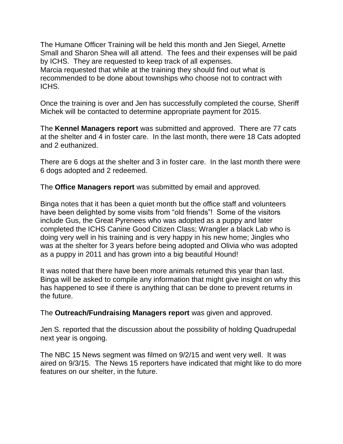The Humane Officer Training will be held this month and Jen Siegel, Arnette Small and Sharon Shea will all attend. The fees and their expenses will be paid by ICHS. They are requested to keep track of all expenses. Marcia requested that while at the training they should find out what is recommended to be done about townships who choose not to contract with ICHS.

Once the training is over and Jen has successfully completed the course, Sheriff Michek will be contacted to determine appropriate payment for 2015.

The **Kennel Managers report** was submitted and approved. There are 77 cats at the shelter and 4 in foster care. In the last month, there were 18 Cats adopted and 2 euthanized.

There are 6 dogs at the shelter and 3 in foster care. In the last month there were 6 dogs adopted and 2 redeemed.

The **Office Managers report** was submitted by email and approved.

Binga notes that it has been a quiet month but the office staff and volunteers have been delighted by some visits from "old friends"! Some of the visitors include Gus, the Great Pyrenees who was adopted as a puppy and later completed the ICHS Canine Good Citizen Class; Wrangler a black Lab who is doing very well in his training and is very happy in his new home; Jingles who was at the shelter for 3 years before being adopted and Olivia who was adopted as a puppy in 2011 and has grown into a big beautiful Hound!

It was noted that there have been more animals returned this year than last. Binga will be asked to compile any information that might give insight on why this has happened to see if there is anything that can be done to prevent returns in the future.

The **Outreach/Fundraising Managers report** was given and approved.

Jen S. reported that the discussion about the possibility of holding Quadrupedal next year is ongoing.

The NBC 15 News segment was filmed on 9/2/15 and went very well. It was aired on 9/3/15. The News 15 reporters have indicated that might like to do more features on our shelter, in the future.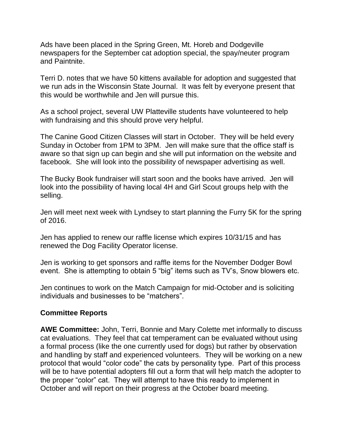Ads have been placed in the Spring Green, Mt. Horeb and Dodgeville newspapers for the September cat adoption special, the spay/neuter program and Paintnite.

Terri D. notes that we have 50 kittens available for adoption and suggested that we run ads in the Wisconsin State Journal. It was felt by everyone present that this would be worthwhile and Jen will pursue this.

As a school project, several UW Platteville students have volunteered to help with fundraising and this should prove very helpful.

The Canine Good Citizen Classes will start in October. They will be held every Sunday in October from 1PM to 3PM. Jen will make sure that the office staff is aware so that sign up can begin and she will put information on the website and facebook. She will look into the possibility of newspaper advertising as well.

The Bucky Book fundraiser will start soon and the books have arrived. Jen will look into the possibility of having local 4H and Girl Scout groups help with the selling.

Jen will meet next week with Lyndsey to start planning the Furry 5K for the spring of 2016.

Jen has applied to renew our raffle license which expires 10/31/15 and has renewed the Dog Facility Operator license.

Jen is working to get sponsors and raffle items for the November Dodger Bowl event. She is attempting to obtain 5 "big" items such as TV's, Snow blowers etc.

Jen continues to work on the Match Campaign for mid-October and is soliciting individuals and businesses to be "matchers".

## **Committee Reports**

**AWE Committee:** John, Terri, Bonnie and Mary Colette met informally to discuss cat evaluations. They feel that cat temperament can be evaluated without using a formal process (like the one currently used for dogs) but rather by observation and handling by staff and experienced volunteers. They will be working on a new protocol that would "color code" the cats by personality type. Part of this process will be to have potential adopters fill out a form that will help match the adopter to the proper "color" cat. They will attempt to have this ready to implement in October and will report on their progress at the October board meeting.